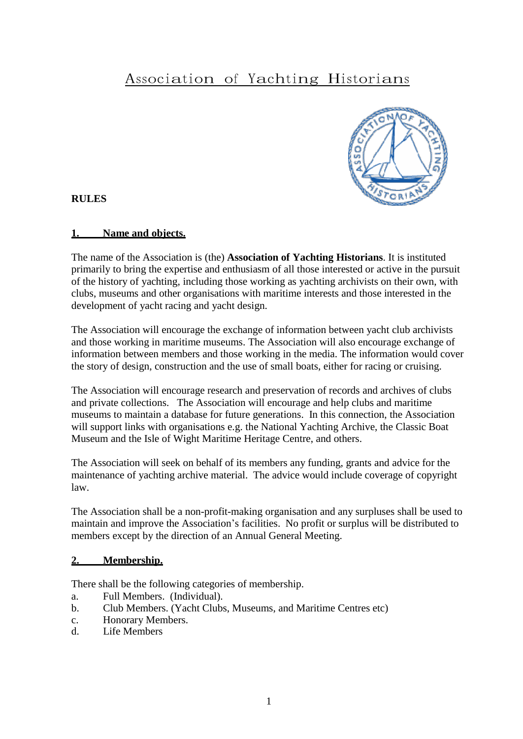# Association of Yachting Historians



**RULES**

#### **1. Name and objects.**

The name of the Association is (the) **Association of Yachting Historians**. It is instituted primarily to bring the expertise and enthusiasm of all those interested or active in the pursuit of the history of yachting, including those working as yachting archivists on their own, with clubs, museums and other organisations with maritime interests and those interested in the development of yacht racing and yacht design.

The Association will encourage the exchange of information between yacht club archivists and those working in maritime museums. The Association will also encourage exchange of information between members and those working in the media. The information would cover the story of design, construction and the use of small boats, either for racing or cruising.

The Association will encourage research and preservation of records and archives of clubs and private collections. The Association will encourage and help clubs and maritime museums to maintain a database for future generations. In this connection, the Association will support links with organisations e.g. the National Yachting Archive, the Classic Boat Museum and the Isle of Wight Maritime Heritage Centre, and others.

The Association will seek on behalf of its members any funding, grants and advice for the maintenance of yachting archive material. The advice would include coverage of copyright law.

The Association shall be a non-profit-making organisation and any surpluses shall be used to maintain and improve the Association's facilities. No profit or surplus will be distributed to members except by the direction of an Annual General Meeting.

#### **2. Membership.**

There shall be the following categories of membership.

- a. Full Members. (Individual).
- b. Club Members. (Yacht Clubs, Museums, and Maritime Centres etc)
- c. Honorary Members.
- d. Life Members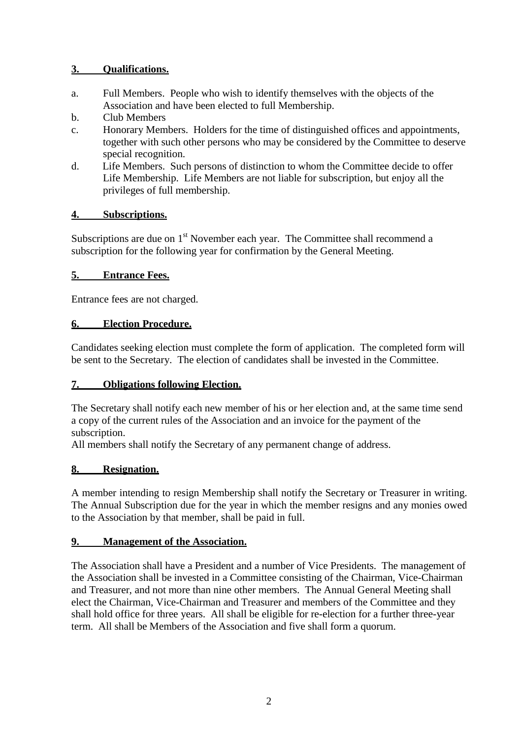# **3. Qualifications.**

- a. Full Members. People who wish to identify themselves with the objects of the Association and have been elected to full Membership.
- b. Club Members
- c. Honorary Members. Holders for the time of distinguished offices and appointments, together with such other persons who may be considered by the Committee to deserve special recognition.
- d. Life Members. Such persons of distinction to whom the Committee decide to offer Life Membership. Life Members are not liable for subscription, but enjoy all the privileges of full membership.

# **4. Subscriptions.**

Subscriptions are due on  $1<sup>st</sup>$  November each year. The Committee shall recommend a subscription for the following year for confirmation by the General Meeting.

# **5. Entrance Fees.**

Entrance fees are not charged.

# **6. Election Procedure.**

Candidates seeking election must complete the form of application. The completed form will be sent to the Secretary. The election of candidates shall be invested in the Committee.

# **7. Obligations following Election.**

The Secretary shall notify each new member of his or her election and, at the same time send a copy of the current rules of the Association and an invoice for the payment of the subscription.

All members shall notify the Secretary of any permanent change of address.

# **8. Resignation.**

A member intending to resign Membership shall notify the Secretary or Treasurer in writing. The Annual Subscription due for the year in which the member resigns and any monies owed to the Association by that member, shall be paid in full.

# **9. Management of the Association.**

The Association shall have a President and a number of Vice Presidents. The management of the Association shall be invested in a Committee consisting of the Chairman, Vice-Chairman and Treasurer, and not more than nine other members. The Annual General Meeting shall elect the Chairman, Vice-Chairman and Treasurer and members of the Committee and they shall hold office for three years. All shall be eligible for re-election for a further three-year term. All shall be Members of the Association and five shall form a quorum.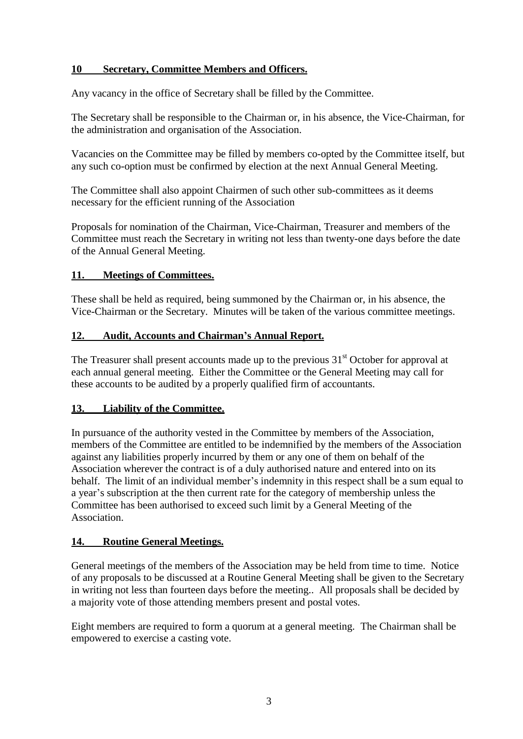# **10 Secretary, Committee Members and Officers.**

Any vacancy in the office of Secretary shall be filled by the Committee.

The Secretary shall be responsible to the Chairman or, in his absence, the Vice-Chairman, for the administration and organisation of the Association.

Vacancies on the Committee may be filled by members co-opted by the Committee itself, but any such co-option must be confirmed by election at the next Annual General Meeting.

The Committee shall also appoint Chairmen of such other sub-committees as it deems necessary for the efficient running of the Association

Proposals for nomination of the Chairman, Vice-Chairman, Treasurer and members of the Committee must reach the Secretary in writing not less than twenty-one days before the date of the Annual General Meeting.

# **11. Meetings of Committees.**

These shall be held as required, being summoned by the Chairman or, in his absence, the Vice-Chairman or the Secretary. Minutes will be taken of the various committee meetings.

# **12. Audit, Accounts and Chairman's Annual Report.**

The Treasurer shall present accounts made up to the previous  $31<sup>st</sup>$  October for approval at each annual general meeting. Either the Committee or the General Meeting may call for these accounts to be audited by a properly qualified firm of accountants.

# **13. Liability of the Committee.**

In pursuance of the authority vested in the Committee by members of the Association, members of the Committee are entitled to be indemnified by the members of the Association against any liabilities properly incurred by them or any one of them on behalf of the Association wherever the contract is of a duly authorised nature and entered into on its behalf. The limit of an individual member's indemnity in this respect shall be a sum equal to a year's subscription at the then current rate for the category of membership unless the Committee has been authorised to exceed such limit by a General Meeting of the Association.

# **14. Routine General Meetings.**

General meetings of the members of the Association may be held from time to time. Notice of any proposals to be discussed at a Routine General Meeting shall be given to the Secretary in writing not less than fourteen days before the meeting.. All proposals shall be decided by a majority vote of those attending members present and postal votes.

Eight members are required to form a quorum at a general meeting. The Chairman shall be empowered to exercise a casting vote.